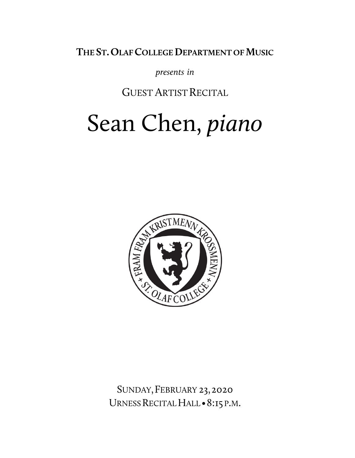THE ST. OLAF COLLEGE DEPARTMENT OF MUSIC

*presents in*

**GUEST ARTIST RECITAL** 

# Sean Chen, *piano*



SUNDAY,FEBRUARY 23,2020 URNESS RECITAL HALL · 8:15 P.M.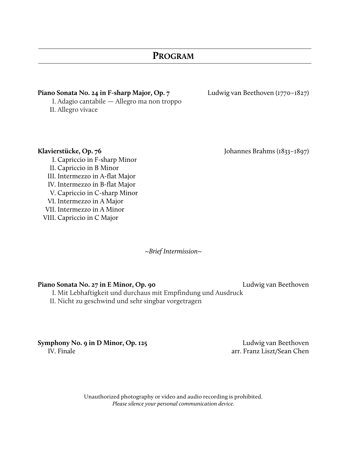### **PROGRAM**

#### **Piano Sonata No. 24 in F-sharp Major, Op. 7** Ludwig van Beethoven (1770–1827)

I. Adagio cantabile — Allegro ma non troppo II. Allegro vivace

Klavierstücke, Op. 76 **Iohannes Brahms** (1833–1897)

I. Capriccio in F-sharp Minor II. Capriccio in B Minor III. Intermezzo in A-flat Major IV. Intermezzo in B-flat Major V. Capriccio in C-sharp Minor VI. Intermezzo in A Major VII. Intermezzo in A Minor VIII. Capriccio in C Major

*~Brief Intermission~*

#### **Piano Sonata No. 27 in E Minor, Op. 90** Ludwig van Beethoven

I. Mit Lebhaftigkeit und durchaus mit Empfindung und Ausdruck

II. Nicht zu geschwind und sehr singbar vorgetragen

**Symphony No. 9 in D Minor, Op. 125** Ludwig van Beethoven

IV. Finale **arr.** Franz Liszt/Sean Chen

Unauthorized photography or video and audio recording is prohibited. *Please silence your personal communication device.*